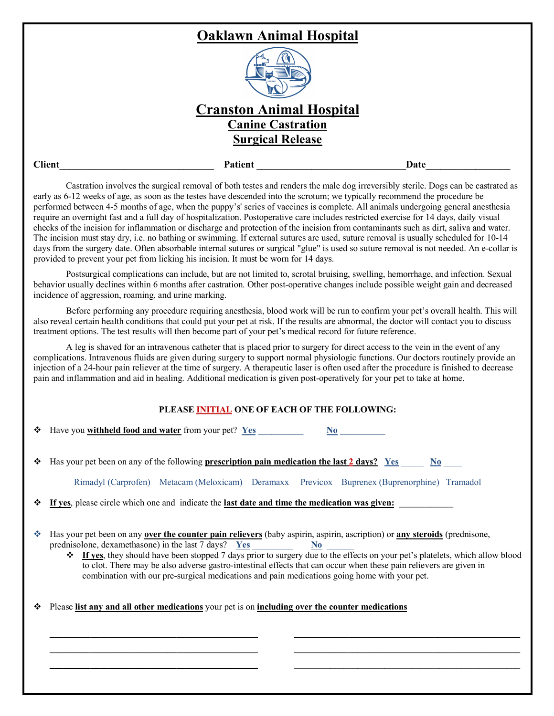|               | <b>Oaklawn Animal Hospital</b>                                                                                                  |      |  |
|---------------|---------------------------------------------------------------------------------------------------------------------------------|------|--|
|               |                                                                                                                                 |      |  |
|               | <b>Cranston Animal Hospital</b>                                                                                                 |      |  |
|               | <b>Canine Castration</b>                                                                                                        |      |  |
|               | <b>Surgical Release</b>                                                                                                         |      |  |
| <b>Client</b> | <b>Patient</b>                                                                                                                  | Date |  |
|               | Costration involves the surgical removal of both testes and renders the male dog irreversibly sterile. Dogs can be costrated as |      |  |

Castration involves the surgical removal of both testes and renders the male dog irreversibly sterile. Dogs can be castrated as early as 6-12 weeks of age, as soon as the testes have descended into the scrotum; we typically recommend the procedure be performed between 4-5 months of age, when the puppy's' series of vaccines is complete. All animals undergoing general anesthesia require an overnight fast and a full day of hospitalization. Postoperative care includes restricted exercise for 14 days, daily visual checks of the incision for inflammation or discharge and protection of the incision from contaminants such as dirt, saliva and water. The incision must stay dry, i.e. no bathing or swimming. If external sutures are used, suture removal is usually scheduled for 10-14 days from the surgery date. Often absorbable internal sutures or surgical "glue" is used so suture removal is not needed. An e-collar is provided to prevent your pet from licking his incision. It must be worn for 14 days.

Postsurgical complications can include, but are not limited to, scrotal bruising, swelling, hemorrhage, and infection. Sexual behavior usually declines within 6 months after castration. Other post-operative changes include possible weight gain and decreased incidence of aggression, roaming, and urine marking.

Before performing any procedure requiring anesthesia, blood work will be run to confirm your pet's overall health. This will also reveal certain health conditions that could put your pet at risk. If the results are abnormal, the doctor will contact you to discuss treatment options. The test results will then become part of your pet's medical record for future reference.

A leg is shaved for an intravenous catheter that is placed prior to surgery for direct access to the vein in the event of any complications. Intravenous fluids are given during surgery to support normal physiologic functions. Our doctors routinely provide an injection of a 24-hour pain reliever at the time of surgery. A therapeutic laser is often used after the procedure is finished to decrease pain and inflammation and aid in healing. Additional medication is given post-operatively for your pet to take at home.

## **PLEASE INITIAL ONE OF EACH OF THE FOLLOWING:**

|   | Have you <b>withheld food and water</b> from your pet? Yes<br>No l                                                                                                                                                                                                                                                                                                                                                                                                                                                                                       |  |  |  |
|---|----------------------------------------------------------------------------------------------------------------------------------------------------------------------------------------------------------------------------------------------------------------------------------------------------------------------------------------------------------------------------------------------------------------------------------------------------------------------------------------------------------------------------------------------------------|--|--|--|
|   | Has your pet been on any of the following <b>prescription pain medication the last 2 days?</b> Yes<br>N <sub>0</sub><br>Rimadyl (Carprofen) Metacam (Meloxicam) Deramaxx Previcox Buprenex (Buprenorphine) Tramadol                                                                                                                                                                                                                                                                                                                                      |  |  |  |
| ❖ | If yes, please circle which one and indicate the last date and time the medication was given:                                                                                                                                                                                                                                                                                                                                                                                                                                                            |  |  |  |
| 參 | Has your pet been on any over the counter pain relievers (baby aspirin, aspirin, ascription) or any steroids (prednisone,<br>prednisolone, dexamethasone) in the last 7 days? $Yes$ $N_0$<br><b> ₹</b> If yes, they should have been stopped 7 days prior to surgery due to the effects on your pet's platelets, which allow blood<br>to clot. There may be also adverse gastro-intestinal effects that can occur when these pain relievers are given in<br>combination with our pre-surgical medications and pain medications going home with your pet. |  |  |  |
|   | Please list any and all other medications your pet is on including over the counter medications                                                                                                                                                                                                                                                                                                                                                                                                                                                          |  |  |  |
|   |                                                                                                                                                                                                                                                                                                                                                                                                                                                                                                                                                          |  |  |  |